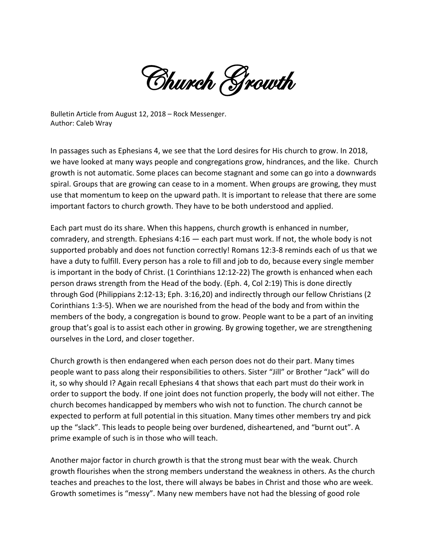Church Growth

Bulletin Article from August 12, 2018 – Rock Messenger. Author: Caleb Wray

In passages such as Ephesians 4, we see that the Lord desires for His church to grow. In 2018, we have looked at many ways people and congregations grow, hindrances, and the like. Church growth is not automatic. Some places can become stagnant and some can go into a downwards spiral. Groups that are growing can cease to in a moment. When groups are growing, they must use that momentum to keep on the upward path. It is important to release that there are some important factors to church growth. They have to be both understood and applied.

Each part must do its share. When this happens, church growth is enhanced in number, comradery, and strength. Ephesians 4:16 — each part must work. If not, the whole body is not supported probably and does not function correctly! Romans 12:3-8 reminds each of us that we have a duty to fulfill. Every person has a role to fill and job to do, because every single member is important in the body of Christ. (1 Corinthians 12:12-22) The growth is enhanced when each person draws strength from the Head of the body. (Eph. 4, Col 2:19) This is done directly through God (Philippians 2:12-13; Eph. 3:16,20) and indirectly through our fellow Christians (2 Corinthians 1:3-5). When we are nourished from the head of the body and from within the members of the body, a congregation is bound to grow. People want to be a part of an inviting group that's goal is to assist each other in growing. By growing together, we are strengthening ourselves in the Lord, and closer together.

Church growth is then endangered when each person does not do their part. Many times people want to pass along their responsibilities to others. Sister "Jill" or Brother "Jack" will do it, so why should I? Again recall Ephesians 4 that shows that each part must do their work in order to support the body. If one joint does not function properly, the body will not either. The church becomes handicapped by members who wish not to function. The church cannot be expected to perform at full potential in this situation. Many times other members try and pick up the "slack". This leads to people being over burdened, disheartened, and "burnt out". A prime example of such is in those who will teach.

Another major factor in church growth is that the strong must bear with the weak. Church growth flourishes when the strong members understand the weakness in others. As the church teaches and preaches to the lost, there will always be babes in Christ and those who are week. Growth sometimes is "messy". Many new members have not had the blessing of good role